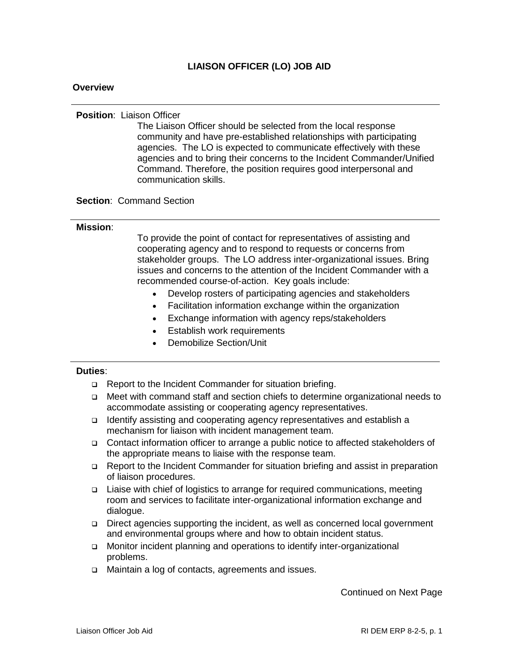### **LIAISON OFFICER (LO) JOB AID**

### **Overview**

#### **Position**: Liaison Officer

The Liaison Officer should be selected from the local response community and have pre-established relationships with participating agencies. The LO is expected to communicate effectively with these agencies and to bring their concerns to the Incident Commander/Unified Command. Therefore, the position requires good interpersonal and communication skills.

### **Section**: Command Section

### **Mission**:

To provide the point of contact for representatives of assisting and cooperating agency and to respond to requests or concerns from stakeholder groups. The LO address inter-organizational issues. Bring issues and concerns to the attention of the Incident Commander with a recommended course-of-action. Key goals include:

- Develop rosters of participating agencies and stakeholders
- Facilitation information exchange within the organization
- Exchange information with agency reps/stakeholders
- Establish work requirements
- Demobilize Section/Unit

#### **Duties**:

- □ Report to the Incident Commander for situation briefing.
- Meet with command staff and section chiefs to determine organizational needs to accommodate assisting or cooperating agency representatives.
- □ Identify assisting and cooperating agency representatives and establish a mechanism for liaison with incident management team.
- Contact information officer to arrange a public notice to affected stakeholders of the appropriate means to liaise with the response team.
- Report to the Incident Commander for situation briefing and assist in preparation of liaison procedures.
- □ Liaise with chief of logistics to arrange for required communications, meeting room and services to facilitate inter-organizational information exchange and dialogue.
- Direct agencies supporting the incident, as well as concerned local government and environmental groups where and how to obtain incident status.
- □ Monitor incident planning and operations to identify inter-organizational problems.
- □ Maintain a log of contacts, agreements and issues.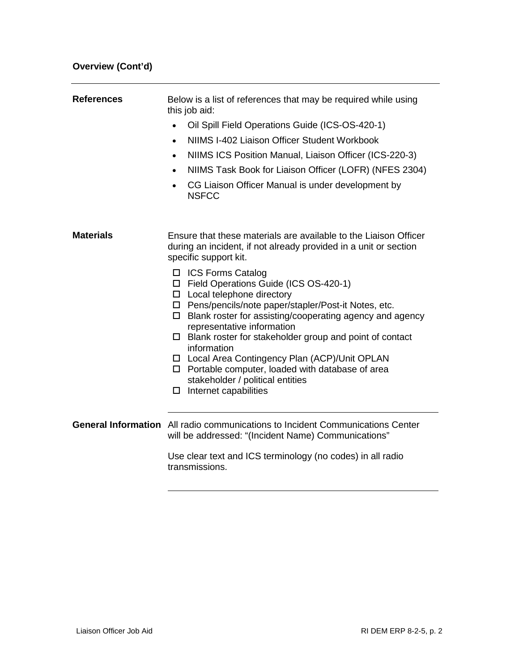| <b>References</b> | Below is a list of references that may be required while using<br>this job aid:                                                                                                                                                                                                                                                                                                                                                                                                                                             |  |  |
|-------------------|-----------------------------------------------------------------------------------------------------------------------------------------------------------------------------------------------------------------------------------------------------------------------------------------------------------------------------------------------------------------------------------------------------------------------------------------------------------------------------------------------------------------------------|--|--|
|                   | Oil Spill Field Operations Guide (ICS-OS-420-1)<br>$\bullet$                                                                                                                                                                                                                                                                                                                                                                                                                                                                |  |  |
|                   | NIIMS I-402 Liaison Officer Student Workbook<br>$\bullet$                                                                                                                                                                                                                                                                                                                                                                                                                                                                   |  |  |
|                   | NIIMS ICS Position Manual, Liaison Officer (ICS-220-3)<br>$\bullet$                                                                                                                                                                                                                                                                                                                                                                                                                                                         |  |  |
|                   | NIIMS Task Book for Liaison Officer (LOFR) (NFES 2304)<br>$\bullet$                                                                                                                                                                                                                                                                                                                                                                                                                                                         |  |  |
|                   | CG Liaison Officer Manual is under development by<br>$\bullet$<br><b>NSFCC</b>                                                                                                                                                                                                                                                                                                                                                                                                                                              |  |  |
|                   |                                                                                                                                                                                                                                                                                                                                                                                                                                                                                                                             |  |  |
| <b>Materials</b>  | Ensure that these materials are available to the Liaison Officer<br>during an incident, if not already provided in a unit or section<br>specific support kit.                                                                                                                                                                                                                                                                                                                                                               |  |  |
|                   | □ ICS Forms Catalog<br>□ Field Operations Guide (ICS OS-420-1)<br>$\Box$ Local telephone directory<br>□ Pens/pencils/note paper/stapler/Post-it Notes, etc.<br>$\Box$ Blank roster for assisting/cooperating agency and agency<br>representative information<br>$\Box$ Blank roster for stakeholder group and point of contact<br>information<br>□ Local Area Contingency Plan (ACP)/Unit OPLAN<br>$\Box$ Portable computer, loaded with database of area<br>stakeholder / political entities<br>Internet capabilities<br>0 |  |  |
|                   | <b>General Information</b> All radio communications to Incident Communications Center<br>will be addressed: "(Incident Name) Communications"                                                                                                                                                                                                                                                                                                                                                                                |  |  |
|                   | Use clear text and ICS terminology (no codes) in all radio<br>transmissions.                                                                                                                                                                                                                                                                                                                                                                                                                                                |  |  |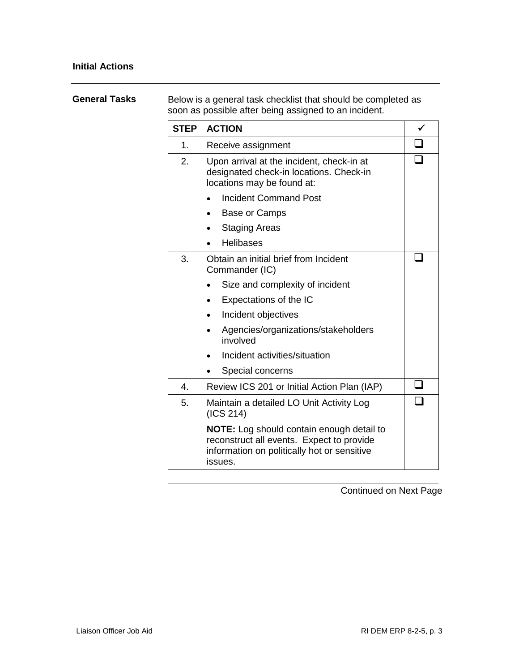## **General Tasks** Below is a general task checklist that should be completed as soon as possible after being assigned to an incident.

| <b>STEP</b>    | <b>ACTION</b>                                                                                                                                           |  |  |
|----------------|---------------------------------------------------------------------------------------------------------------------------------------------------------|--|--|
| 1.             | Receive assignment                                                                                                                                      |  |  |
| 2.             | Upon arrival at the incident, check-in at<br>designated check-in locations. Check-in<br>locations may be found at:                                      |  |  |
|                | <b>Incident Command Post</b>                                                                                                                            |  |  |
|                | Base or Camps                                                                                                                                           |  |  |
|                | <b>Staging Areas</b>                                                                                                                                    |  |  |
|                | <b>Helibases</b>                                                                                                                                        |  |  |
| 3.             | Obtain an initial brief from Incident<br>Commander (IC)                                                                                                 |  |  |
|                | Size and complexity of incident                                                                                                                         |  |  |
|                | Expectations of the IC                                                                                                                                  |  |  |
|                | Incident objectives                                                                                                                                     |  |  |
|                | Agencies/organizations/stakeholders<br>involved                                                                                                         |  |  |
|                | Incident activities/situation                                                                                                                           |  |  |
|                | Special concerns                                                                                                                                        |  |  |
| $\overline{4}$ | Review ICS 201 or Initial Action Plan (IAP)                                                                                                             |  |  |
| 5.             | Maintain a detailed LO Unit Activity Log<br>(ICS 214)                                                                                                   |  |  |
|                | <b>NOTE:</b> Log should contain enough detail to<br>reconstruct all events. Expect to provide<br>information on politically hot or sensitive<br>issues. |  |  |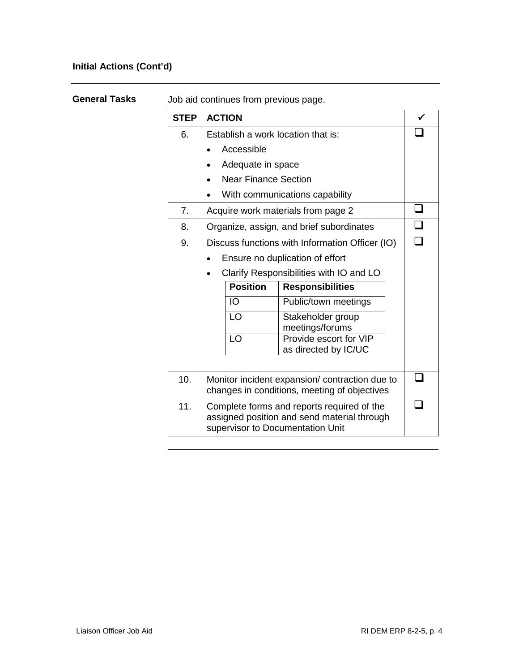## **Initial Actions (Cont'd)**

| <b>General Tasks</b> |  |
|----------------------|--|
|                      |  |

Job aid continues from previous page.

| <b>STEP</b> | <b>ACTION</b>                                                                                                                 |                             |                                           |  |  |
|-------------|-------------------------------------------------------------------------------------------------------------------------------|-----------------------------|-------------------------------------------|--|--|
| 6.          | Establish a work location that is:                                                                                            |                             |                                           |  |  |
|             | Accessible                                                                                                                    |                             |                                           |  |  |
|             |                                                                                                                               | Adequate in space           |                                           |  |  |
|             |                                                                                                                               | <b>Near Finance Section</b> |                                           |  |  |
|             | With communications capability                                                                                                |                             |                                           |  |  |
| 7.          | Acquire work materials from page 2                                                                                            |                             |                                           |  |  |
| 8.          | Organize, assign, and brief subordinates                                                                                      |                             |                                           |  |  |
| 9.          | Discuss functions with Information Officer (IO)                                                                               |                             |                                           |  |  |
|             | Ensure no duplication of effort                                                                                               |                             |                                           |  |  |
|             | Clarify Responsibilities with IO and LO                                                                                       |                             |                                           |  |  |
|             |                                                                                                                               | <b>Position</b>             | <b>Responsibilities</b>                   |  |  |
|             |                                                                                                                               | IO                          | Public/town meetings                      |  |  |
|             |                                                                                                                               | LO                          | Stakeholder group                         |  |  |
|             |                                                                                                                               | LO                          | meetings/forums<br>Provide escort for VIP |  |  |
|             |                                                                                                                               |                             | as directed by IC/UC                      |  |  |
|             |                                                                                                                               |                             |                                           |  |  |
| 10.         | Monitor incident expansion/ contraction due to<br>changes in conditions, meeting of objectives                                |                             |                                           |  |  |
| 11.         | Complete forms and reports required of the<br>assigned position and send material through<br>supervisor to Documentation Unit |                             |                                           |  |  |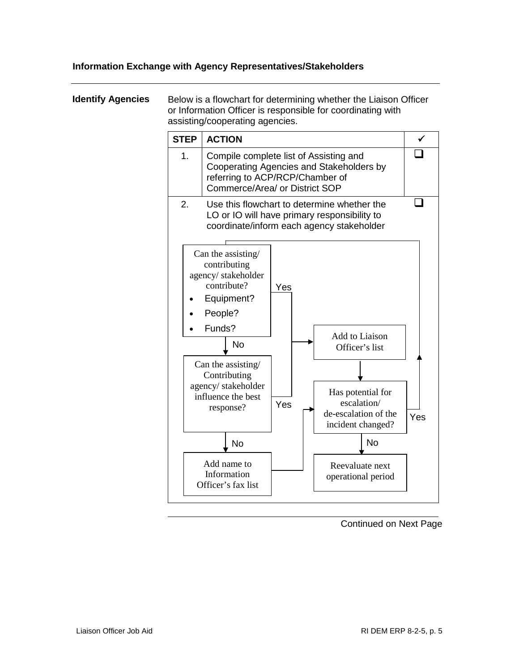### **Information Exchange with Agency Representatives/Stakeholders**

**Identify Agencies** Below is a flowchart for determining whether the Liaison Officer or Information Officer is responsible for coordinating with assisting/cooperating agencies. **STEP ACTION** 1. Compile complete list of Assisting and Cooperating Agencies and Stakeholders by referring to ACP/RCP/Chamber of Commerce/Area/ or District SOP  $\Box$ 2. Use this flowchart to determine whether the LO or IO will have primary responsibility to coordinate/inform each agency stakeholder  $\Box$ Can the assisting/ **Contributing** agency/ stakeholder influence the best response? Add name to Information Officer's fax list Add to Liaison Officer's list Reevaluate next operational period Has potential for escalation/ de-escalation of the incident changed? Can the assisting/ contributing agency/ stakeholder contribute? • Equipment? • People? • Funds? Yes Yes No No No Yes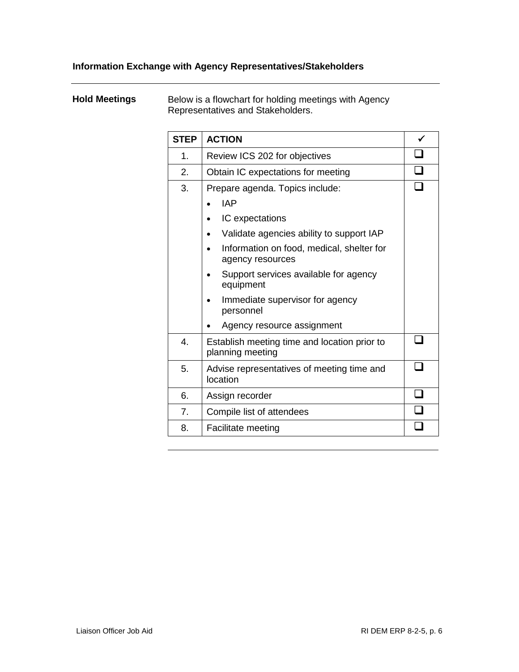## **Hold Meetings** Below is a flowchart for holding meetings with Agency Representatives and Stakeholders.

| <b>STEP</b> | <b>ACTION</b>                                                    |  |  |
|-------------|------------------------------------------------------------------|--|--|
| 1.          | Review ICS 202 for objectives                                    |  |  |
| 2.          | Obtain IC expectations for meeting                               |  |  |
| 3.          | Prepare agenda. Topics include:                                  |  |  |
|             | <b>IAP</b>                                                       |  |  |
|             | IC expectations                                                  |  |  |
|             | Validate agencies ability to support IAP                         |  |  |
|             | Information on food, medical, shelter for<br>agency resources    |  |  |
|             | Support services available for agency<br>equipment               |  |  |
|             | Immediate supervisor for agency<br>personnel                     |  |  |
|             | Agency resource assignment                                       |  |  |
| 4.          | Establish meeting time and location prior to<br>planning meeting |  |  |
| 5.          | Advise representatives of meeting time and<br>location           |  |  |
| 6.          | Assign recorder                                                  |  |  |
| 7.          | Compile list of attendees                                        |  |  |
| 8.          | <b>Facilitate meeting</b>                                        |  |  |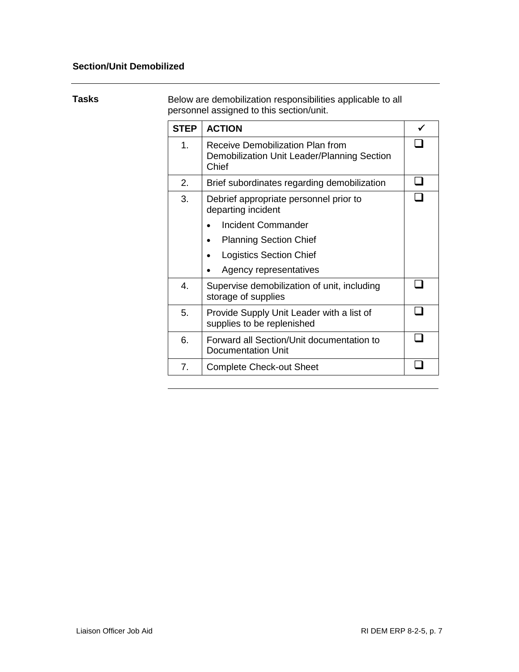## **Section/Unit Demobilized**

**Tasks** Below are demobilization responsibilities applicable to all personnel assigned to this section/unit.

| <b>STEP</b> | <b>ACTION</b>                                                                            |  |  |
|-------------|------------------------------------------------------------------------------------------|--|--|
| 1.          | Receive Demobilization Plan from<br>Demobilization Unit Leader/Planning Section<br>Chief |  |  |
| 2.          | Brief subordinates regarding demobilization                                              |  |  |
| 3.          | Debrief appropriate personnel prior to<br>departing incident                             |  |  |
|             | <b>Incident Commander</b>                                                                |  |  |
|             | <b>Planning Section Chief</b>                                                            |  |  |
|             | <b>Logistics Section Chief</b>                                                           |  |  |
|             | Agency representatives                                                                   |  |  |
| 4.          | Supervise demobilization of unit, including<br>storage of supplies                       |  |  |
| 5.          | Provide Supply Unit Leader with a list of<br>supplies to be replenished                  |  |  |
| 6.          | Forward all Section/Unit documentation to<br>Documentation Unit                          |  |  |
| 7.          | <b>Complete Check-out Sheet</b>                                                          |  |  |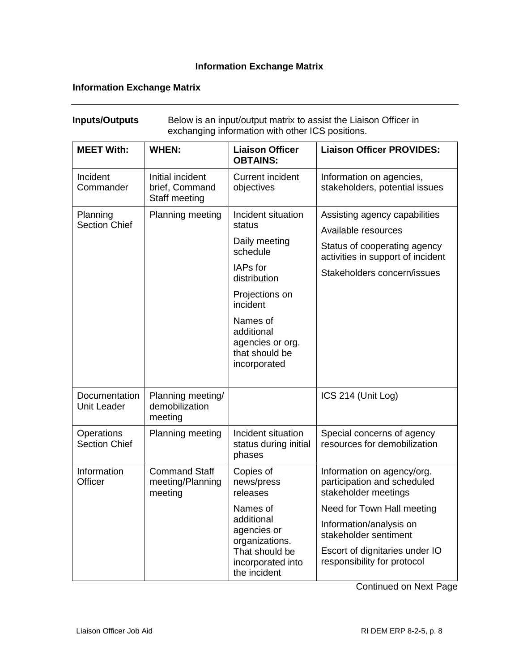## **Information Exchange Matrix**

## **Information Exchange Matrix**

| exchanging information with other ICS positions. |                                                     |                                                                                                                                                                                                     |                                                                                                                                                          |
|--------------------------------------------------|-----------------------------------------------------|-----------------------------------------------------------------------------------------------------------------------------------------------------------------------------------------------------|----------------------------------------------------------------------------------------------------------------------------------------------------------|
| <b>MEET With:</b>                                | <b>WHEN:</b>                                        | <b>Liaison Officer</b><br><b>OBTAINS:</b>                                                                                                                                                           | <b>Liaison Officer PROVIDES:</b>                                                                                                                         |
| Incident<br>Commander                            | Initial incident<br>brief, Command<br>Staff meeting | <b>Current incident</b><br>objectives                                                                                                                                                               | Information on agencies,<br>stakeholders, potential issues                                                                                               |
| Planning<br><b>Section Chief</b>                 | Planning meeting                                    | Incident situation<br>status<br>Daily meeting<br>schedule<br>IAPs for<br>distribution<br>Projections on<br>incident<br>Names of<br>additional<br>agencies or org.<br>that should be<br>incorporated | Assisting agency capabilities<br>Available resources<br>Status of cooperating agency<br>activities in support of incident<br>Stakeholders concern/issues |
| Documentation<br><b>Unit Leader</b>              | Planning meeting/<br>demobilization<br>meeting      |                                                                                                                                                                                                     | ICS 214 (Unit Log)                                                                                                                                       |
| <b>Operations</b><br><b>Section Chief</b>        | Planning meeting                                    | Incident situation<br>status during initial<br>phases                                                                                                                                               | Special concerns of agency<br>resources for demobilization                                                                                               |
| Information<br>Officer                           | <b>Command Staff</b><br>meeting/Planning<br>meeting | Copies of<br>news/press<br>releases                                                                                                                                                                 | Information on agency/org.<br>participation and scheduled<br>stakeholder meetings                                                                        |
|                                                  |                                                     | Names of<br>additional<br>agencies or<br>organizations.<br>That should be<br>incorporated into<br>the incident                                                                                      | Need for Town Hall meeting<br>Information/analysis on<br>stakeholder sentiment<br>Escort of dignitaries under IO<br>responsibility for protocol          |

**Inputs/Outputs** Below is an input/output matrix to assist the Liaison Officer in